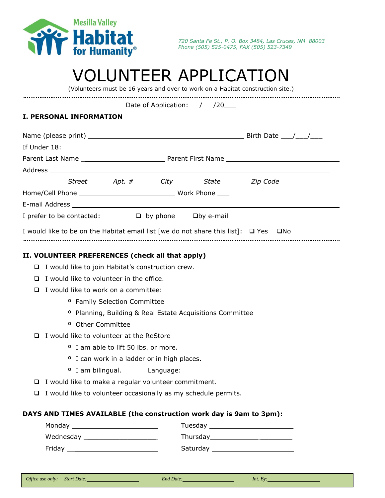

# VOLUNTEER APPLICATION

(Volunteers must be 16 years and over to work on a Habitat construction site.)

Date of Application: / /20\_\_\_\_

## **I. PERSONAL INFORMATION**

| If Under 18:                                                                                   |                                                                      |                                                 |  |                                   |  |  |  |  |
|------------------------------------------------------------------------------------------------|----------------------------------------------------------------------|-------------------------------------------------|--|-----------------------------------|--|--|--|--|
|                                                                                                |                                                                      |                                                 |  |                                   |  |  |  |  |
|                                                                                                |                                                                      |                                                 |  |                                   |  |  |  |  |
|                                                                                                |                                                                      |                                                 |  | Street Apt. # City State Zip Code |  |  |  |  |
|                                                                                                |                                                                      |                                                 |  |                                   |  |  |  |  |
|                                                                                                |                                                                      |                                                 |  |                                   |  |  |  |  |
| I prefer to be contacted: $\Box$ by phone $\Box$ by e-mail                                     |                                                                      |                                                 |  |                                   |  |  |  |  |
| I would like to be on the Habitat email list [we do not share this list]: $\Box$ Yes $\Box$ No |                                                                      |                                                 |  |                                   |  |  |  |  |
| II. VOLUNTEER PREFERENCES (check all that apply)                                               |                                                                      |                                                 |  |                                   |  |  |  |  |
|                                                                                                | $\Box$ I would like to join Habitat's construction crew.             |                                                 |  |                                   |  |  |  |  |
|                                                                                                | $\Box$ I would like to volunteer in the office.                      |                                                 |  |                                   |  |  |  |  |
| □                                                                                              | I would like to work on a committee:                                 |                                                 |  |                                   |  |  |  |  |
|                                                                                                | <sup>o</sup> Family Selection Committee                              |                                                 |  |                                   |  |  |  |  |
|                                                                                                | <sup>o</sup> Planning, Building & Real Estate Acquisitions Committee |                                                 |  |                                   |  |  |  |  |
|                                                                                                | <sup>o</sup> Other Committee                                         |                                                 |  |                                   |  |  |  |  |
| $\Box$                                                                                         | I would like to volunteer at the ReStore                             |                                                 |  |                                   |  |  |  |  |
|                                                                                                |                                                                      | <sup>o</sup> I am able to lift 50 lbs, or more, |  |                                   |  |  |  |  |
|                                                                                                | <sup>o</sup> I can work in a ladder or in high places.               |                                                 |  |                                   |  |  |  |  |

- º I am bilingual. Language:
- $\Box$  I would like to make a regular volunteer commitment.
- $\Box$  I would like to volunteer occasionally as my schedule permits.

### **DAYS AND TIMES AVAILABLE (the construction work day is 9am to 3pm):**

| Monday _____________________________ |                                                                                                                                                                                                                                |
|--------------------------------------|--------------------------------------------------------------------------------------------------------------------------------------------------------------------------------------------------------------------------------|
| Wednesday                            | Thursday and the control of the control of the control of the control of the control of the control of the control of the control of the control of the control of the control of the control of the control of the control of |
| Friday                               | Saturday                                                                                                                                                                                                                       |

|  |  | End Date: |  |
|--|--|-----------|--|
|--|--|-----------|--|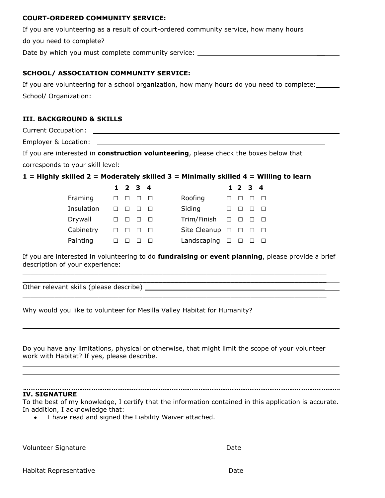#### **COURT-ORDERED COMMUNITY SERVICE:**

If you are volunteering as a result of court-ordered community service, how many hours

do you need to complete?

Date by which you must complete community service: \_\_\_\_\_\_\_\_\_\_

#### **SCHOOL/ ASSOCIATION COMMUNITY SERVICE:**

If you are volunteering for a school organization, how many hours do you need to complete: School/ Organization: New York Channels and Channels Channels and Channels Channels and Channels Channels and Channels Channels and Channels and Channels and Channels and Channels and Channels and Channels and Channels and

### **III. BACKGROUND & SKILLS**

Current Occupation: **Example 2018** 

Employer & Location: \_\_

If you are interested in **construction volunteering**, please check the boxes below that corresponds to your skill level:

**1 = Highly skilled 2 = Moderately skilled 3 = Minimally skilled 4 = Willing to learn**

|            | $1 \t2 \t3 \t4$ |  |                                   |   | 1 2 3 4 |  |
|------------|-----------------|--|-----------------------------------|---|---------|--|
| Framing    |                 |  | Roofing                           |   |         |  |
| Insulation |                 |  | Siding                            |   |         |  |
| Drywall    |                 |  | $Trim/Finish$ $\Box$              |   |         |  |
| Cabinetry  |                 |  | Site Cleanup $\Box$ $\Box$ $\Box$ |   |         |  |
| Painting   |                 |  | Landscaping                       | ⊔ |         |  |

If you are interested in volunteering to do **fundraising or event planning**, please provide a brief description of your experience:

 $\mathcal{L}_\mathcal{L} = \mathcal{L}_\mathcal{L} = \mathcal{L}_\mathcal{L} = \mathcal{L}_\mathcal{L} = \mathcal{L}_\mathcal{L} = \mathcal{L}_\mathcal{L} = \mathcal{L}_\mathcal{L} = \mathcal{L}_\mathcal{L} = \mathcal{L}_\mathcal{L} = \mathcal{L}_\mathcal{L} = \mathcal{L}_\mathcal{L} = \mathcal{L}_\mathcal{L} = \mathcal{L}_\mathcal{L} = \mathcal{L}_\mathcal{L} = \mathcal{L}_\mathcal{L} = \mathcal{L}_\mathcal{L} = \mathcal{L}_\mathcal{L}$  $\mathcal{L}_\mathcal{L} = \mathcal{L}_\mathcal{L} = \mathcal{L}_\mathcal{L} = \mathcal{L}_\mathcal{L} = \mathcal{L}_\mathcal{L} = \mathcal{L}_\mathcal{L} = \mathcal{L}_\mathcal{L} = \mathcal{L}_\mathcal{L} = \mathcal{L}_\mathcal{L} = \mathcal{L}_\mathcal{L} = \mathcal{L}_\mathcal{L} = \mathcal{L}_\mathcal{L} = \mathcal{L}_\mathcal{L} = \mathcal{L}_\mathcal{L} = \mathcal{L}_\mathcal{L} = \mathcal{L}_\mathcal{L} = \mathcal{L}_\mathcal{L}$ 

 $\mathcal{L}_\mathcal{L} = \mathcal{L}_\mathcal{L} = \mathcal{L}_\mathcal{L} = \mathcal{L}_\mathcal{L} = \mathcal{L}_\mathcal{L} = \mathcal{L}_\mathcal{L} = \mathcal{L}_\mathcal{L} = \mathcal{L}_\mathcal{L} = \mathcal{L}_\mathcal{L} = \mathcal{L}_\mathcal{L} = \mathcal{L}_\mathcal{L} = \mathcal{L}_\mathcal{L} = \mathcal{L}_\mathcal{L} = \mathcal{L}_\mathcal{L} = \mathcal{L}_\mathcal{L} = \mathcal{L}_\mathcal{L} = \mathcal{L}_\mathcal{L}$ 

Other relevant skills (please describe) \_\_\_\_\_\_\_\_\_\_\_\_\_\_\_\_\_\_\_\_\_\_\_\_\_\_\_\_\_\_\_\_\_\_\_\_\_\_\_\_\_\_\_\_\_

Why would you like to volunteer for Mesilla Valley Habitat for Humanity?

Do you have any limitations, physical or otherwise, that might limit the scope of your volunteer work with Habitat? If yes, please describe.

#### **IV. SIGNATURE**

To the best of my knowledge, I certify that the information contained in this application is accurate. In addition, I acknowledge that:

I have read and signed the Liability Waiver attached.

Volunteer Signature **Date** 

Habitat Representative **Date**